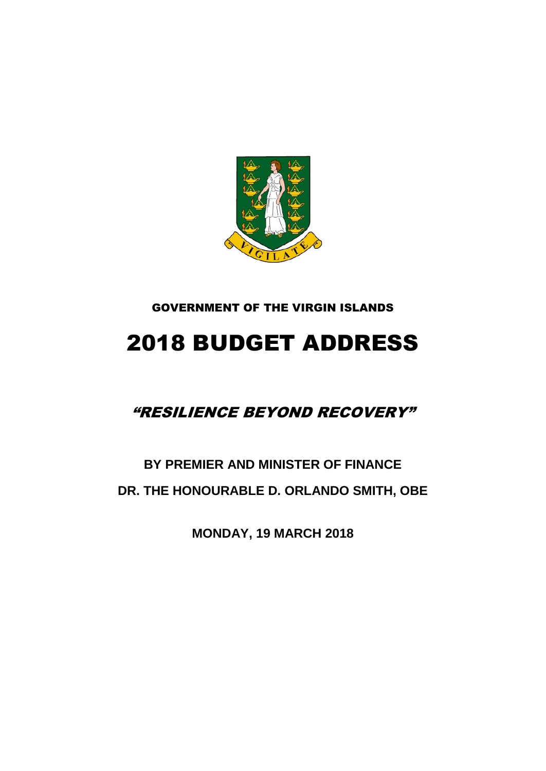

### GOVERNMENT OF THE VIRGIN ISLANDS

# 2018 BUDGET ADDRESS

### "RESILIENCE BEYOND RECOVERY"

## **BY PREMIER AND MINISTER OF FINANCE DR. THE HONOURABLE D. ORLANDO SMITH, OBE**

**MONDAY, 19 MARCH 2018**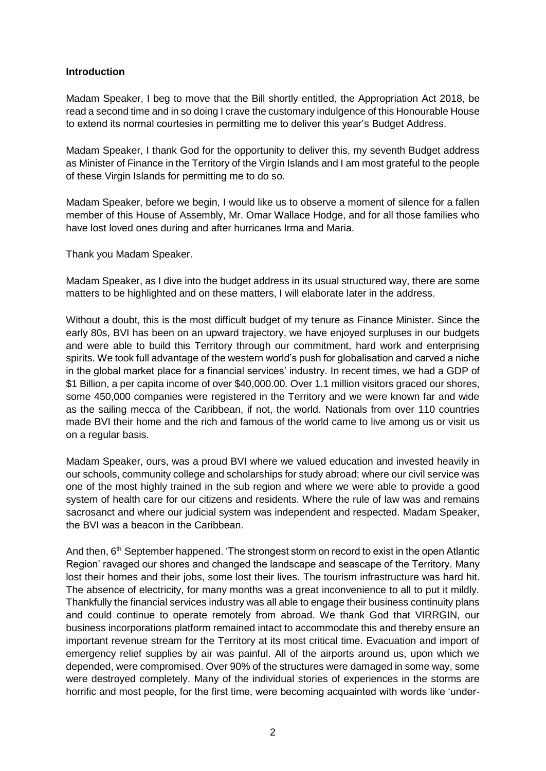#### **Introduction**

Madam Speaker, I beg to move that the Bill shortly entitled, the Appropriation Act 2018, be read a second time and in so doing I crave the customary indulgence of this Honourable House to extend its normal courtesies in permitting me to deliver this year's Budget Address.

Madam Speaker, I thank God for the opportunity to deliver this, my seventh Budget address as Minister of Finance in the Territory of the Virgin Islands and I am most grateful to the people of these Virgin Islands for permitting me to do so.

Madam Speaker, before we begin, I would like us to observe a moment of silence for a fallen member of this House of Assembly, Mr. Omar Wallace Hodge, and for all those families who have lost loved ones during and after hurricanes Irma and Maria.

Thank you Madam Speaker.

Madam Speaker, as I dive into the budget address in its usual structured way, there are some matters to be highlighted and on these matters, I will elaborate later in the address.

Without a doubt, this is the most difficult budget of my tenure as Finance Minister. Since the early 80s, BVI has been on an upward trajectory, we have enjoyed surpluses in our budgets and were able to build this Territory through our commitment, hard work and enterprising spirits. We took full advantage of the western world's push for globalisation and carved a niche in the global market place for a financial services' industry. In recent times, we had a GDP of \$1 Billion, a per capita income of over \$40,000.00. Over 1.1 million visitors graced our shores, some 450,000 companies were registered in the Territory and we were known far and wide as the sailing mecca of the Caribbean, if not, the world. Nationals from over 110 countries made BVI their home and the rich and famous of the world came to live among us or visit us on a regular basis.

Madam Speaker, ours, was a proud BVI where we valued education and invested heavily in our schools, community college and scholarships for study abroad; where our civil service was one of the most highly trained in the sub region and where we were able to provide a good system of health care for our citizens and residents. Where the rule of law was and remains sacrosanct and where our judicial system was independent and respected. Madam Speaker, the BVI was a beacon in the Caribbean.

And then, 6<sup>th</sup> September happened. 'The strongest storm on record to exist in the open Atlantic Region' ravaged our shores and changed the landscape and seascape of the Territory. Many lost their homes and their jobs, some lost their lives. The tourism infrastructure was hard hit. The absence of electricity, for many months was a great inconvenience to all to put it mildly. Thankfully the financial services industry was all able to engage their business continuity plans and could continue to operate remotely from abroad. We thank God that VIRRGIN, our business incorporations platform remained intact to accommodate this and thereby ensure an important revenue stream for the Territory at its most critical time. Evacuation and import of emergency relief supplies by air was painful. All of the airports around us, upon which we depended, were compromised. Over 90% of the structures were damaged in some way, some were destroyed completely. Many of the individual stories of experiences in the storms are horrific and most people, for the first time, were becoming acquainted with words like 'under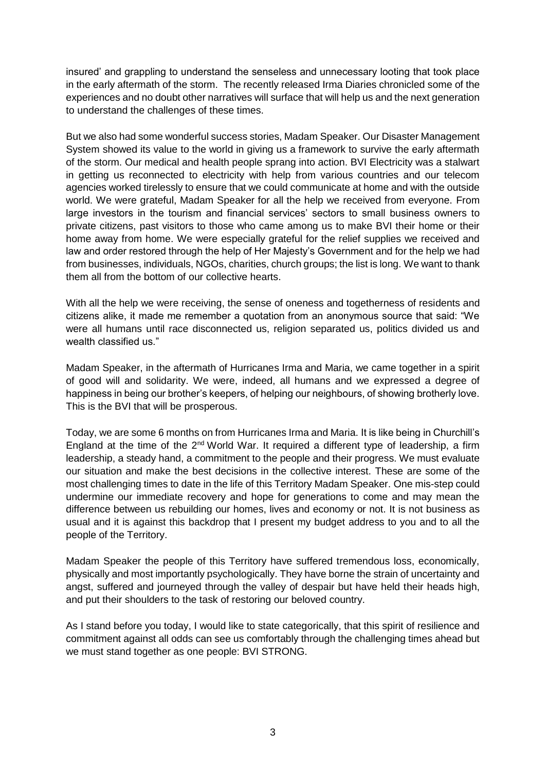insured' and grappling to understand the senseless and unnecessary looting that took place in the early aftermath of the storm. The recently released Irma Diaries chronicled some of the experiences and no doubt other narratives will surface that will help us and the next generation to understand the challenges of these times.

But we also had some wonderful success stories, Madam Speaker. Our Disaster Management System showed its value to the world in giving us a framework to survive the early aftermath of the storm. Our medical and health people sprang into action. BVI Electricity was a stalwart in getting us reconnected to electricity with help from various countries and our telecom agencies worked tirelessly to ensure that we could communicate at home and with the outside world. We were grateful, Madam Speaker for all the help we received from everyone. From large investors in the tourism and financial services' sectors to small business owners to private citizens, past visitors to those who came among us to make BVI their home or their home away from home. We were especially grateful for the relief supplies we received and law and order restored through the help of Her Majesty's Government and for the help we had from businesses, individuals, NGOs, charities, church groups; the list is long. We want to thank them all from the bottom of our collective hearts.

With all the help we were receiving, the sense of oneness and togetherness of residents and citizens alike, it made me remember a quotation from an anonymous source that said: "We were all humans until race disconnected us, religion separated us, politics divided us and wealth classified us."

Madam Speaker, in the aftermath of Hurricanes Irma and Maria, we came together in a spirit of good will and solidarity. We were, indeed, all humans and we expressed a degree of happiness in being our brother's keepers, of helping our neighbours, of showing brotherly love. This is the BVI that will be prosperous.

Today, we are some 6 months on from Hurricanes Irma and Maria. It is like being in Churchill's England at the time of the 2<sup>nd</sup> World War. It required a different type of leadership, a firm leadership, a steady hand, a commitment to the people and their progress. We must evaluate our situation and make the best decisions in the collective interest. These are some of the most challenging times to date in the life of this Territory Madam Speaker. One mis-step could undermine our immediate recovery and hope for generations to come and may mean the difference between us rebuilding our homes, lives and economy or not. It is not business as usual and it is against this backdrop that I present my budget address to you and to all the people of the Territory.

Madam Speaker the people of this Territory have suffered tremendous loss, economically, physically and most importantly psychologically. They have borne the strain of uncertainty and angst, suffered and journeyed through the valley of despair but have held their heads high, and put their shoulders to the task of restoring our beloved country.

As I stand before you today, I would like to state categorically, that this spirit of resilience and commitment against all odds can see us comfortably through the challenging times ahead but we must stand together as one people: BVI STRONG.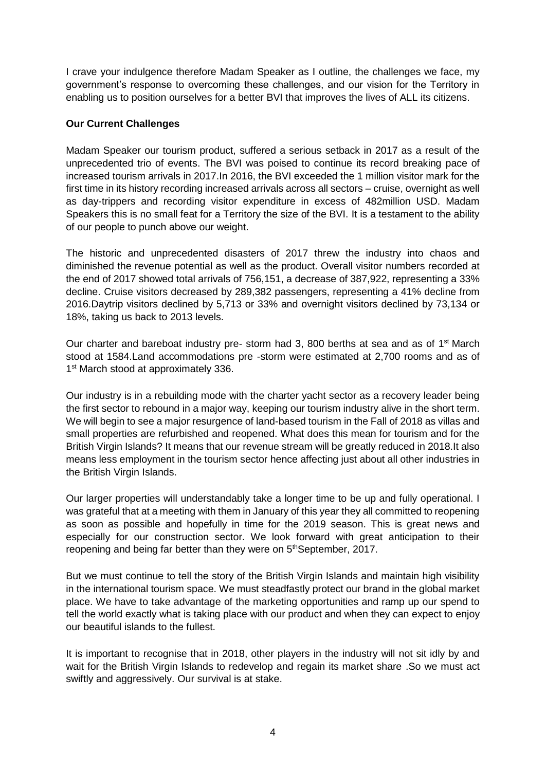I crave your indulgence therefore Madam Speaker as I outline, the challenges we face, my government's response to overcoming these challenges, and our vision for the Territory in enabling us to position ourselves for a better BVI that improves the lives of ALL its citizens.

#### **Our Current Challenges**

Madam Speaker our tourism product, suffered a serious setback in 2017 as a result of the unprecedented trio of events. The BVI was poised to continue its record breaking pace of increased tourism arrivals in 2017.In 2016, the BVI exceeded the 1 million visitor mark for the first time in its history recording increased arrivals across all sectors – cruise, overnight as well as day-trippers and recording visitor expenditure in excess of 482million USD. Madam Speakers this is no small feat for a Territory the size of the BVI. It is a testament to the ability of our people to punch above our weight.

The historic and unprecedented disasters of 2017 threw the industry into chaos and diminished the revenue potential as well as the product. Overall visitor numbers recorded at the end of 2017 showed total arrivals of 756,151, a decrease of 387,922, representing a 33% decline. Cruise visitors decreased by 289,382 passengers, representing a 41% decline from 2016.Daytrip visitors declined by 5,713 or 33% and overnight visitors declined by 73,134 or 18%, taking us back to 2013 levels.

Our charter and bareboat industry pre- storm had 3, 800 berths at sea and as of 1<sup>st</sup> March stood at 1584.Land accommodations pre -storm were estimated at 2,700 rooms and as of 1<sup>st</sup> March stood at approximately 336.

Our industry is in a rebuilding mode with the charter yacht sector as a recovery leader being the first sector to rebound in a major way, keeping our tourism industry alive in the short term. We will begin to see a major resurgence of land-based tourism in the Fall of 2018 as villas and small properties are refurbished and reopened. What does this mean for tourism and for the British Virgin Islands? It means that our revenue stream will be greatly reduced in 2018.It also means less employment in the tourism sector hence affecting just about all other industries in the British Virgin Islands.

Our larger properties will understandably take a longer time to be up and fully operational. I was grateful that at a meeting with them in January of this year they all committed to reopening as soon as possible and hopefully in time for the 2019 season. This is great news and especially for our construction sector. We look forward with great anticipation to their reopening and being far better than they were on 5<sup>th</sup>September, 2017.

But we must continue to tell the story of the British Virgin Islands and maintain high visibility in the international tourism space. We must steadfastly protect our brand in the global market place. We have to take advantage of the marketing opportunities and ramp up our spend to tell the world exactly what is taking place with our product and when they can expect to enjoy our beautiful islands to the fullest.

It is important to recognise that in 2018, other players in the industry will not sit idly by and wait for the British Virgin Islands to redevelop and regain its market share .So we must act swiftly and aggressively. Our survival is at stake.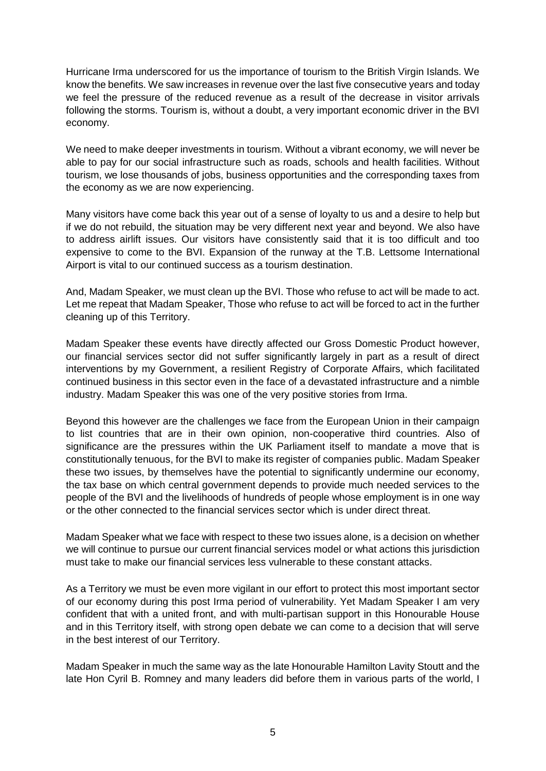Hurricane Irma underscored for us the importance of tourism to the British Virgin Islands. We know the benefits. We saw increases in revenue over the last five consecutive years and today we feel the pressure of the reduced revenue as a result of the decrease in visitor arrivals following the storms. Tourism is, without a doubt, a very important economic driver in the BVI economy.

We need to make deeper investments in tourism. Without a vibrant economy, we will never be able to pay for our social infrastructure such as roads, schools and health facilities. Without tourism, we lose thousands of jobs, business opportunities and the corresponding taxes from the economy as we are now experiencing.

Many visitors have come back this year out of a sense of loyalty to us and a desire to help but if we do not rebuild, the situation may be very different next year and beyond. We also have to address airlift issues. Our visitors have consistently said that it is too difficult and too expensive to come to the BVI. Expansion of the runway at the T.B. Lettsome International Airport is vital to our continued success as a tourism destination.

And, Madam Speaker, we must clean up the BVI. Those who refuse to act will be made to act. Let me repeat that Madam Speaker, Those who refuse to act will be forced to act in the further cleaning up of this Territory.

Madam Speaker these events have directly affected our Gross Domestic Product however, our financial services sector did not suffer significantly largely in part as a result of direct interventions by my Government, a resilient Registry of Corporate Affairs, which facilitated continued business in this sector even in the face of a devastated infrastructure and a nimble industry. Madam Speaker this was one of the very positive stories from Irma.

Beyond this however are the challenges we face from the European Union in their campaign to list countries that are in their own opinion, non-cooperative third countries. Also of significance are the pressures within the UK Parliament itself to mandate a move that is constitutionally tenuous, for the BVI to make its register of companies public. Madam Speaker these two issues, by themselves have the potential to significantly undermine our economy, the tax base on which central government depends to provide much needed services to the people of the BVI and the livelihoods of hundreds of people whose employment is in one way or the other connected to the financial services sector which is under direct threat.

Madam Speaker what we face with respect to these two issues alone, is a decision on whether we will continue to pursue our current financial services model or what actions this jurisdiction must take to make our financial services less vulnerable to these constant attacks.

As a Territory we must be even more vigilant in our effort to protect this most important sector of our economy during this post Irma period of vulnerability. Yet Madam Speaker I am very confident that with a united front, and with multi-partisan support in this Honourable House and in this Territory itself, with strong open debate we can come to a decision that will serve in the best interest of our Territory.

Madam Speaker in much the same way as the late Honourable Hamilton Lavity Stoutt and the late Hon Cyril B. Romney and many leaders did before them in various parts of the world, I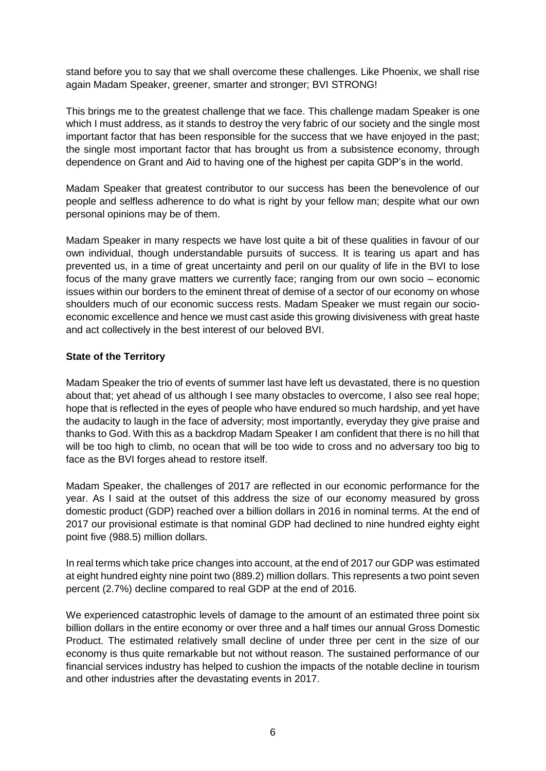stand before you to say that we shall overcome these challenges. Like Phoenix, we shall rise again Madam Speaker, greener, smarter and stronger; BVI STRONG!

This brings me to the greatest challenge that we face. This challenge madam Speaker is one which I must address, as it stands to destroy the very fabric of our society and the single most important factor that has been responsible for the success that we have enjoyed in the past; the single most important factor that has brought us from a subsistence economy, through dependence on Grant and Aid to having one of the highest per capita GDP's in the world.

Madam Speaker that greatest contributor to our success has been the benevolence of our people and selfless adherence to do what is right by your fellow man; despite what our own personal opinions may be of them.

Madam Speaker in many respects we have lost quite a bit of these qualities in favour of our own individual, though understandable pursuits of success. It is tearing us apart and has prevented us, in a time of great uncertainty and peril on our quality of life in the BVI to lose focus of the many grave matters we currently face; ranging from our own socio – economic issues within our borders to the eminent threat of demise of a sector of our economy on whose shoulders much of our economic success rests. Madam Speaker we must regain our socioeconomic excellence and hence we must cast aside this growing divisiveness with great haste and act collectively in the best interest of our beloved BVI.

#### **State of the Territory**

Madam Speaker the trio of events of summer last have left us devastated, there is no question about that; yet ahead of us although I see many obstacles to overcome, I also see real hope; hope that is reflected in the eyes of people who have endured so much hardship, and yet have the audacity to laugh in the face of adversity; most importantly, everyday they give praise and thanks to God. With this as a backdrop Madam Speaker I am confident that there is no hill that will be too high to climb, no ocean that will be too wide to cross and no adversary too big to face as the BVI forges ahead to restore itself.

Madam Speaker, the challenges of 2017 are reflected in our economic performance for the year. As I said at the outset of this address the size of our economy measured by gross domestic product (GDP) reached over a billion dollars in 2016 in nominal terms. At the end of 2017 our provisional estimate is that nominal GDP had declined to nine hundred eighty eight point five (988.5) million dollars.

In real terms which take price changes into account, at the end of 2017 our GDP was estimated at eight hundred eighty nine point two (889.2) million dollars. This represents a two point seven percent (2.7%) decline compared to real GDP at the end of 2016.

We experienced catastrophic levels of damage to the amount of an estimated three point six billion dollars in the entire economy or over three and a half times our annual Gross Domestic Product. The estimated relatively small decline of under three per cent in the size of our economy is thus quite remarkable but not without reason. The sustained performance of our financial services industry has helped to cushion the impacts of the notable decline in tourism and other industries after the devastating events in 2017.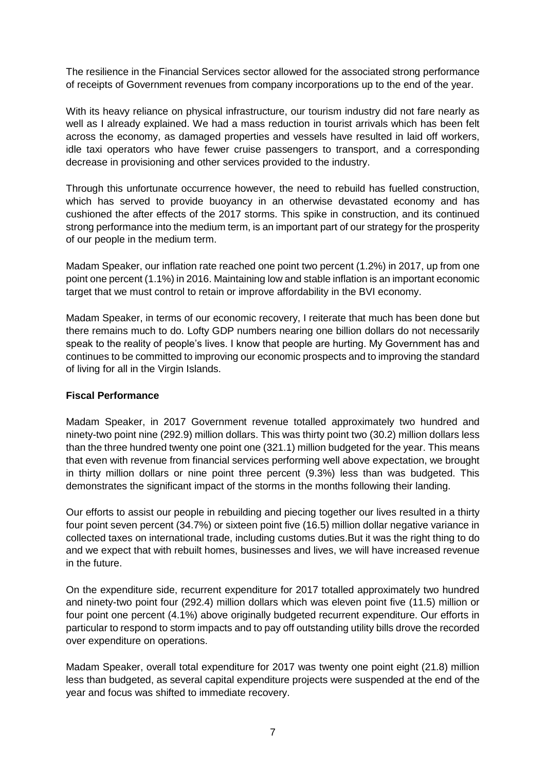The resilience in the Financial Services sector allowed for the associated strong performance of receipts of Government revenues from company incorporations up to the end of the year.

With its heavy reliance on physical infrastructure, our tourism industry did not fare nearly as well as I already explained. We had a mass reduction in tourist arrivals which has been felt across the economy, as damaged properties and vessels have resulted in laid off workers, idle taxi operators who have fewer cruise passengers to transport, and a corresponding decrease in provisioning and other services provided to the industry.

Through this unfortunate occurrence however, the need to rebuild has fuelled construction, which has served to provide buoyancy in an otherwise devastated economy and has cushioned the after effects of the 2017 storms. This spike in construction, and its continued strong performance into the medium term, is an important part of our strategy for the prosperity of our people in the medium term.

Madam Speaker, our inflation rate reached one point two percent (1.2%) in 2017, up from one point one percent (1.1%) in 2016. Maintaining low and stable inflation is an important economic target that we must control to retain or improve affordability in the BVI economy.

Madam Speaker, in terms of our economic recovery, I reiterate that much has been done but there remains much to do. Lofty GDP numbers nearing one billion dollars do not necessarily speak to the reality of people's lives. I know that people are hurting. My Government has and continues to be committed to improving our economic prospects and to improving the standard of living for all in the Virgin Islands.

#### **Fiscal Performance**

Madam Speaker, in 2017 Government revenue totalled approximately two hundred and ninety-two point nine (292.9) million dollars. This was thirty point two (30.2) million dollars less than the three hundred twenty one point one (321.1) million budgeted for the year. This means that even with revenue from financial services performing well above expectation, we brought in thirty million dollars or nine point three percent (9.3%) less than was budgeted. This demonstrates the significant impact of the storms in the months following their landing.

Our efforts to assist our people in rebuilding and piecing together our lives resulted in a thirty four point seven percent (34.7%) or sixteen point five (16.5) million dollar negative variance in collected taxes on international trade, including customs duties.But it was the right thing to do and we expect that with rebuilt homes, businesses and lives, we will have increased revenue in the future.

On the expenditure side, recurrent expenditure for 2017 totalled approximately two hundred and ninety-two point four (292.4) million dollars which was eleven point five (11.5) million or four point one percent (4.1%) above originally budgeted recurrent expenditure. Our efforts in particular to respond to storm impacts and to pay off outstanding utility bills drove the recorded over expenditure on operations.

Madam Speaker, overall total expenditure for 2017 was twenty one point eight (21.8) million less than budgeted, as several capital expenditure projects were suspended at the end of the year and focus was shifted to immediate recovery.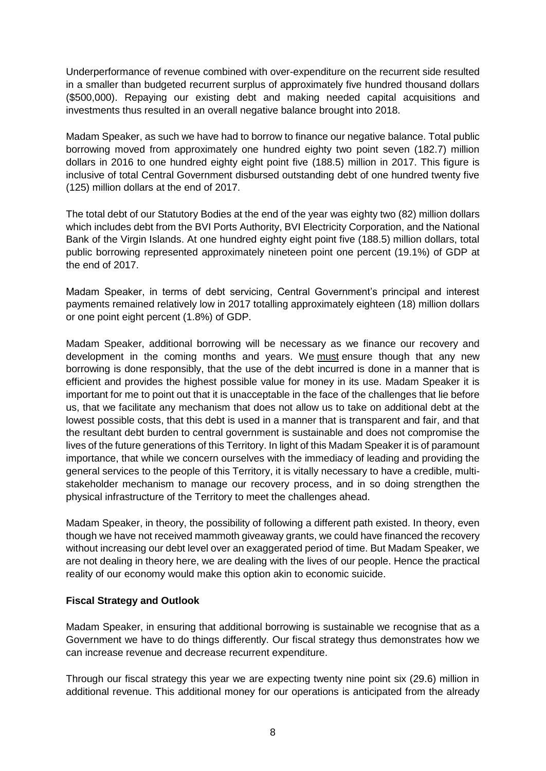Underperformance of revenue combined with over-expenditure on the recurrent side resulted in a smaller than budgeted recurrent surplus of approximately five hundred thousand dollars (\$500,000). Repaying our existing debt and making needed capital acquisitions and investments thus resulted in an overall negative balance brought into 2018.

Madam Speaker, as such we have had to borrow to finance our negative balance. Total public borrowing moved from approximately one hundred eighty two point seven (182.7) million dollars in 2016 to one hundred eighty eight point five (188.5) million in 2017. This figure is inclusive of total Central Government disbursed outstanding debt of one hundred twenty five (125) million dollars at the end of 2017.

The total debt of our Statutory Bodies at the end of the year was eighty two (82) million dollars which includes debt from the BVI Ports Authority, BVI Electricity Corporation, and the National Bank of the Virgin Islands. At one hundred eighty eight point five (188.5) million dollars, total public borrowing represented approximately nineteen point one percent (19.1%) of GDP at the end of 2017.

Madam Speaker, in terms of debt servicing, Central Government's principal and interest payments remained relatively low in 2017 totalling approximately eighteen (18) million dollars or one point eight percent (1.8%) of GDP.

Madam Speaker, additional borrowing will be necessary as we finance our recovery and development in the coming months and years. We must ensure though that any new borrowing is done responsibly, that the use of the debt incurred is done in a manner that is efficient and provides the highest possible value for money in its use. Madam Speaker it is important for me to point out that it is unacceptable in the face of the challenges that lie before us, that we facilitate any mechanism that does not allow us to take on additional debt at the lowest possible costs, that this debt is used in a manner that is transparent and fair, and that the resultant debt burden to central government is sustainable and does not compromise the lives of the future generations of this Territory. In light of this Madam Speaker it is of paramount importance, that while we concern ourselves with the immediacy of leading and providing the general services to the people of this Territory, it is vitally necessary to have a credible, multistakeholder mechanism to manage our recovery process, and in so doing strengthen the physical infrastructure of the Territory to meet the challenges ahead.

Madam Speaker, in theory, the possibility of following a different path existed. In theory, even though we have not received mammoth giveaway grants, we could have financed the recovery without increasing our debt level over an exaggerated period of time. But Madam Speaker, we are not dealing in theory here, we are dealing with the lives of our people. Hence the practical reality of our economy would make this option akin to economic suicide.

#### **Fiscal Strategy and Outlook**

Madam Speaker, in ensuring that additional borrowing is sustainable we recognise that as a Government we have to do things differently. Our fiscal strategy thus demonstrates how we can increase revenue and decrease recurrent expenditure.

Through our fiscal strategy this year we are expecting twenty nine point six (29.6) million in additional revenue. This additional money for our operations is anticipated from the already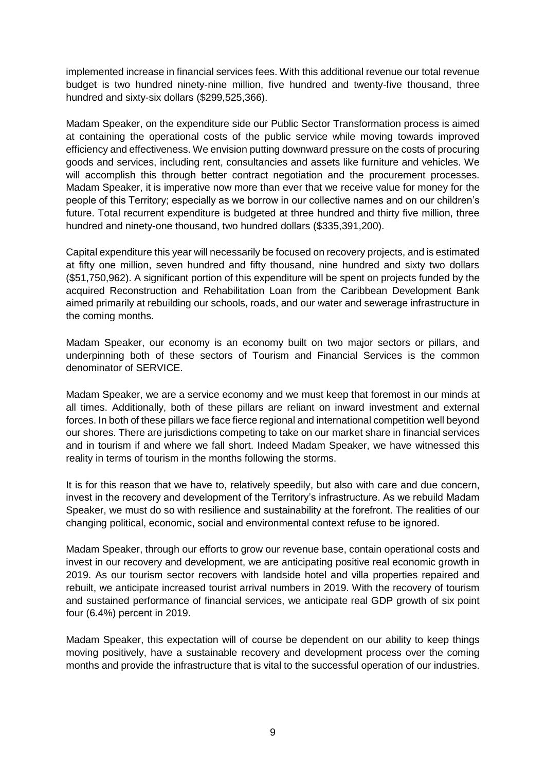implemented increase in financial services fees. With this additional revenue our total revenue budget is two hundred ninety-nine million, five hundred and twenty-five thousand, three hundred and sixty-six dollars (\$299,525,366).

Madam Speaker, on the expenditure side our Public Sector Transformation process is aimed at containing the operational costs of the public service while moving towards improved efficiency and effectiveness. We envision putting downward pressure on the costs of procuring goods and services, including rent, consultancies and assets like furniture and vehicles. We will accomplish this through better contract negotiation and the procurement processes. Madam Speaker, it is imperative now more than ever that we receive value for money for the people of this Territory; especially as we borrow in our collective names and on our children's future. Total recurrent expenditure is budgeted at three hundred and thirty five million, three hundred and ninety-one thousand, two hundred dollars (\$335,391,200).

Capital expenditure this year will necessarily be focused on recovery projects, and is estimated at fifty one million, seven hundred and fifty thousand, nine hundred and sixty two dollars (\$51,750,962). A significant portion of this expenditure will be spent on projects funded by the acquired Reconstruction and Rehabilitation Loan from the Caribbean Development Bank aimed primarily at rebuilding our schools, roads, and our water and sewerage infrastructure in the coming months.

Madam Speaker, our economy is an economy built on two major sectors or pillars, and underpinning both of these sectors of Tourism and Financial Services is the common denominator of SERVICE.

Madam Speaker, we are a service economy and we must keep that foremost in our minds at all times. Additionally, both of these pillars are reliant on inward investment and external forces. In both of these pillars we face fierce regional and international competition well beyond our shores. There are jurisdictions competing to take on our market share in financial services and in tourism if and where we fall short. Indeed Madam Speaker, we have witnessed this reality in terms of tourism in the months following the storms.

It is for this reason that we have to, relatively speedily, but also with care and due concern, invest in the recovery and development of the Territory's infrastructure. As we rebuild Madam Speaker, we must do so with resilience and sustainability at the forefront. The realities of our changing political, economic, social and environmental context refuse to be ignored.

Madam Speaker, through our efforts to grow our revenue base, contain operational costs and invest in our recovery and development, we are anticipating positive real economic growth in 2019. As our tourism sector recovers with landside hotel and villa properties repaired and rebuilt, we anticipate increased tourist arrival numbers in 2019. With the recovery of tourism and sustained performance of financial services, we anticipate real GDP growth of six point four (6.4%) percent in 2019.

Madam Speaker, this expectation will of course be dependent on our ability to keep things moving positively, have a sustainable recovery and development process over the coming months and provide the infrastructure that is vital to the successful operation of our industries.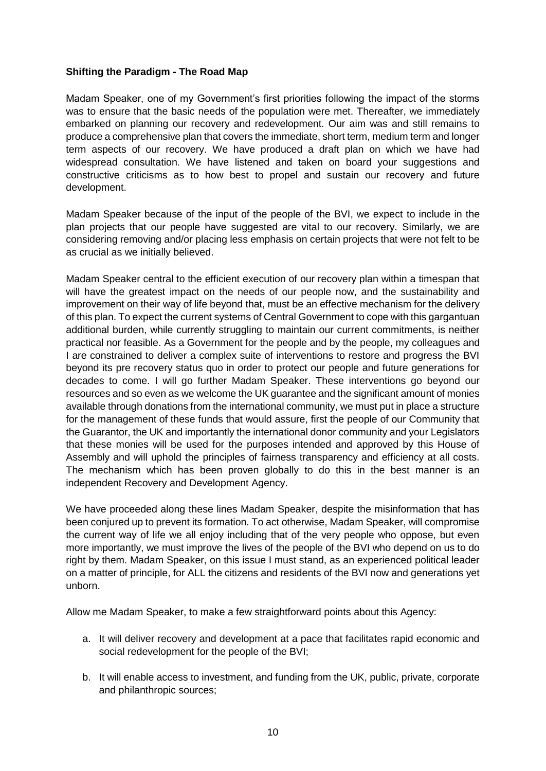#### **Shifting the Paradigm - The Road Map**

Madam Speaker, one of my Government's first priorities following the impact of the storms was to ensure that the basic needs of the population were met. Thereafter, we immediately embarked on planning our recovery and redevelopment. Our aim was and still remains to produce a comprehensive plan that covers the immediate, short term, medium term and longer term aspects of our recovery. We have produced a draft plan on which we have had widespread consultation. We have listened and taken on board your suggestions and constructive criticisms as to how best to propel and sustain our recovery and future development.

Madam Speaker because of the input of the people of the BVI, we expect to include in the plan projects that our people have suggested are vital to our recovery. Similarly, we are considering removing and/or placing less emphasis on certain projects that were not felt to be as crucial as we initially believed.

Madam Speaker central to the efficient execution of our recovery plan within a timespan that will have the greatest impact on the needs of our people now, and the sustainability and improvement on their way of life beyond that, must be an effective mechanism for the delivery of this plan. To expect the current systems of Central Government to cope with this gargantuan additional burden, while currently struggling to maintain our current commitments, is neither practical nor feasible. As a Government for the people and by the people, my colleagues and I are constrained to deliver a complex suite of interventions to restore and progress the BVI beyond its pre recovery status quo in order to protect our people and future generations for decades to come. I will go further Madam Speaker. These interventions go beyond our resources and so even as we welcome the UK guarantee and the significant amount of monies available through donations from the international community, we must put in place a structure for the management of these funds that would assure, first the people of our Community that the Guarantor, the UK and importantly the international donor community and your Legislators that these monies will be used for the purposes intended and approved by this House of Assembly and will uphold the principles of fairness transparency and efficiency at all costs. The mechanism which has been proven globally to do this in the best manner is an independent Recovery and Development Agency.

We have proceeded along these lines Madam Speaker, despite the misinformation that has been conjured up to prevent its formation. To act otherwise, Madam Speaker, will compromise the current way of life we all enjoy including that of the very people who oppose, but even more importantly, we must improve the lives of the people of the BVI who depend on us to do right by them. Madam Speaker, on this issue I must stand, as an experienced political leader on a matter of principle, for ALL the citizens and residents of the BVI now and generations yet unborn.

Allow me Madam Speaker, to make a few straightforward points about this Agency:

- a. It will deliver recovery and development at a pace that facilitates rapid economic and social redevelopment for the people of the BVI;
- b. It will enable access to investment, and funding from the UK, public, private, corporate and philanthropic sources;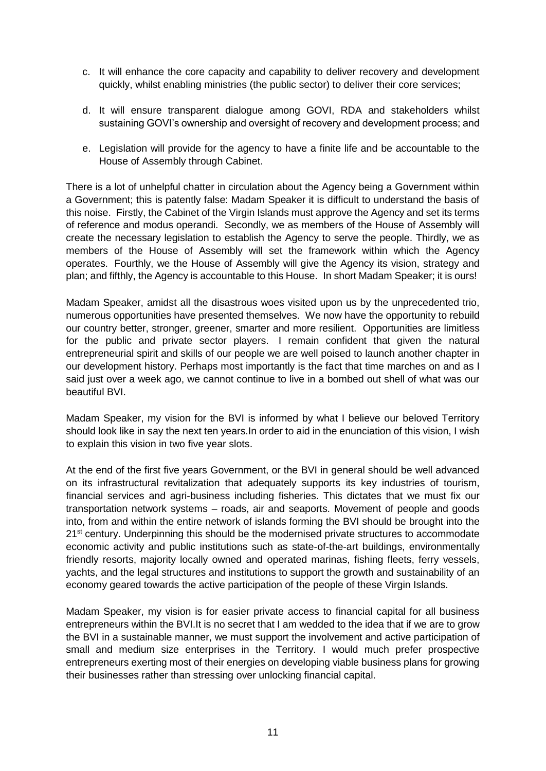- c. It will enhance the core capacity and capability to deliver recovery and development quickly, whilst enabling ministries (the public sector) to deliver their core services;
- d. It will ensure transparent dialogue among GOVI, RDA and stakeholders whilst sustaining GOVI's ownership and oversight of recovery and development process; and
- e. Legislation will provide for the agency to have a finite life and be accountable to the House of Assembly through Cabinet.

There is a lot of unhelpful chatter in circulation about the Agency being a Government within a Government; this is patently false: Madam Speaker it is difficult to understand the basis of this noise. Firstly, the Cabinet of the Virgin Islands must approve the Agency and set its terms of reference and modus operandi. Secondly, we as members of the House of Assembly will create the necessary legislation to establish the Agency to serve the people. Thirdly, we as members of the House of Assembly will set the framework within which the Agency operates. Fourthly, we the House of Assembly will give the Agency its vision, strategy and plan; and fifthly, the Agency is accountable to this House. In short Madam Speaker; it is ours!

Madam Speaker, amidst all the disastrous woes visited upon us by the unprecedented trio, numerous opportunities have presented themselves. We now have the opportunity to rebuild our country better, stronger, greener, smarter and more resilient. Opportunities are limitless for the public and private sector players. I remain confident that given the natural entrepreneurial spirit and skills of our people we are well poised to launch another chapter in our development history. Perhaps most importantly is the fact that time marches on and as I said just over a week ago, we cannot continue to live in a bombed out shell of what was our beautiful BVI.

Madam Speaker, my vision for the BVI is informed by what I believe our beloved Territory should look like in say the next ten years.In order to aid in the enunciation of this vision, I wish to explain this vision in two five year slots.

At the end of the first five years Government, or the BVI in general should be well advanced on its infrastructural revitalization that adequately supports its key industries of tourism, financial services and agri-business including fisheries. This dictates that we must fix our transportation network systems – roads, air and seaports. Movement of people and goods into, from and within the entire network of islands forming the BVI should be brought into the 21<sup>st</sup> century. Underpinning this should be the modernised private structures to accommodate economic activity and public institutions such as state-of-the-art buildings, environmentally friendly resorts, majority locally owned and operated marinas, fishing fleets, ferry vessels, yachts, and the legal structures and institutions to support the growth and sustainability of an economy geared towards the active participation of the people of these Virgin Islands.

Madam Speaker, my vision is for easier private access to financial capital for all business entrepreneurs within the BVI.It is no secret that I am wedded to the idea that if we are to grow the BVI in a sustainable manner, we must support the involvement and active participation of small and medium size enterprises in the Territory. I would much prefer prospective entrepreneurs exerting most of their energies on developing viable business plans for growing their businesses rather than stressing over unlocking financial capital.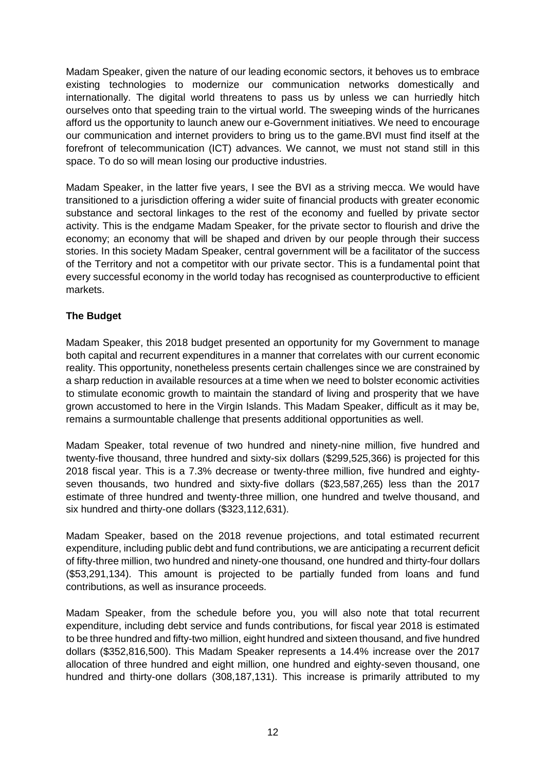Madam Speaker, given the nature of our leading economic sectors, it behoves us to embrace existing technologies to modernize our communication networks domestically and internationally. The digital world threatens to pass us by unless we can hurriedly hitch ourselves onto that speeding train to the virtual world. The sweeping winds of the hurricanes afford us the opportunity to launch anew our e-Government initiatives. We need to encourage our communication and internet providers to bring us to the game.BVI must find itself at the forefront of telecommunication (ICT) advances. We cannot, we must not stand still in this space. To do so will mean losing our productive industries.

Madam Speaker, in the latter five years, I see the BVI as a striving mecca. We would have transitioned to a jurisdiction offering a wider suite of financial products with greater economic substance and sectoral linkages to the rest of the economy and fuelled by private sector activity. This is the endgame Madam Speaker, for the private sector to flourish and drive the economy; an economy that will be shaped and driven by our people through their success stories. In this society Madam Speaker, central government will be a facilitator of the success of the Territory and not a competitor with our private sector. This is a fundamental point that every successful economy in the world today has recognised as counterproductive to efficient markets.

#### **The Budget**

Madam Speaker, this 2018 budget presented an opportunity for my Government to manage both capital and recurrent expenditures in a manner that correlates with our current economic reality. This opportunity, nonetheless presents certain challenges since we are constrained by a sharp reduction in available resources at a time when we need to bolster economic activities to stimulate economic growth to maintain the standard of living and prosperity that we have grown accustomed to here in the Virgin Islands. This Madam Speaker, difficult as it may be, remains a surmountable challenge that presents additional opportunities as well.

Madam Speaker, total revenue of two hundred and ninety-nine million, five hundred and twenty-five thousand, three hundred and sixty-six dollars (\$299,525,366) is projected for this 2018 fiscal year. This is a 7.3% decrease or twenty-three million, five hundred and eightyseven thousands, two hundred and sixty-five dollars (\$23,587,265) less than the 2017 estimate of three hundred and twenty-three million, one hundred and twelve thousand, and six hundred and thirty-one dollars (\$323,112,631).

Madam Speaker, based on the 2018 revenue projections, and total estimated recurrent expenditure, including public debt and fund contributions, we are anticipating a recurrent deficit of fifty-three million, two hundred and ninety-one thousand, one hundred and thirty-four dollars (\$53,291,134). This amount is projected to be partially funded from loans and fund contributions, as well as insurance proceeds.

Madam Speaker, from the schedule before you, you will also note that total recurrent expenditure, including debt service and funds contributions, for fiscal year 2018 is estimated to be three hundred and fifty-two million, eight hundred and sixteen thousand, and five hundred dollars (\$352,816,500). This Madam Speaker represents a 14.4% increase over the 2017 allocation of three hundred and eight million, one hundred and eighty-seven thousand, one hundred and thirty-one dollars (308,187,131). This increase is primarily attributed to my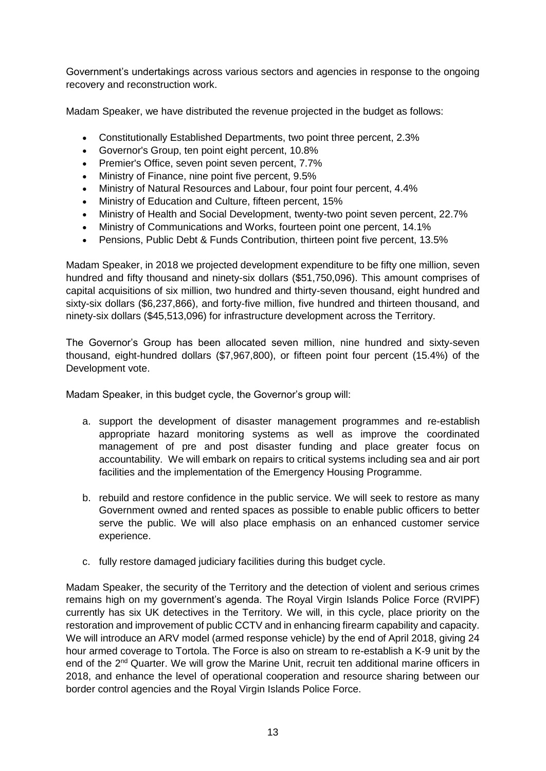Government's undertakings across various sectors and agencies in response to the ongoing recovery and reconstruction work.

Madam Speaker, we have distributed the revenue projected in the budget as follows:

- Constitutionally Established Departments, two point three percent, 2.3%
- Governor's Group, ten point eight percent, 10.8%
- Premier's Office, seven point seven percent, 7.7%
- Ministry of Finance, nine point five percent, 9.5%
- Ministry of Natural Resources and Labour, four point four percent, 4.4%
- Ministry of Education and Culture, fifteen percent, 15%
- Ministry of Health and Social Development, twenty-two point seven percent, 22.7%
- Ministry of Communications and Works, fourteen point one percent, 14.1%
- Pensions, Public Debt & Funds Contribution, thirteen point five percent, 13.5%

Madam Speaker, in 2018 we projected development expenditure to be fifty one million, seven hundred and fifty thousand and ninety-six dollars (\$51,750,096). This amount comprises of capital acquisitions of six million, two hundred and thirty-seven thousand, eight hundred and sixty-six dollars (\$6,237,866), and forty-five million, five hundred and thirteen thousand, and ninety-six dollars (\$45,513,096) for infrastructure development across the Territory.

The Governor's Group has been allocated seven million, nine hundred and sixty-seven thousand, eight-hundred dollars (\$7,967,800), or fifteen point four percent (15.4%) of the Development vote.

Madam Speaker, in this budget cycle, the Governor's group will:

- a. support the development of disaster management programmes and re-establish appropriate hazard monitoring systems as well as improve the coordinated management of pre and post disaster funding and place greater focus on accountability. We will embark on repairs to critical systems including sea and air port facilities and the implementation of the Emergency Housing Programme.
- b. rebuild and restore confidence in the public service. We will seek to restore as many Government owned and rented spaces as possible to enable public officers to better serve the public. We will also place emphasis on an enhanced customer service experience.
- c. fully restore damaged judiciary facilities during this budget cycle.

Madam Speaker, the security of the Territory and the detection of violent and serious crimes remains high on my government's agenda. The Royal Virgin Islands Police Force (RVIPF) currently has six UK detectives in the Territory. We will, in this cycle, place priority on the restoration and improvement of public CCTV and in enhancing firearm capability and capacity. We will introduce an ARV model (armed response vehicle) by the end of April 2018, giving 24 hour armed coverage to Tortola. The Force is also on stream to re-establish a K-9 unit by the end of the 2<sup>nd</sup> Quarter. We will grow the Marine Unit, recruit ten additional marine officers in 2018, and enhance the level of operational cooperation and resource sharing between our border control agencies and the Royal Virgin Islands Police Force.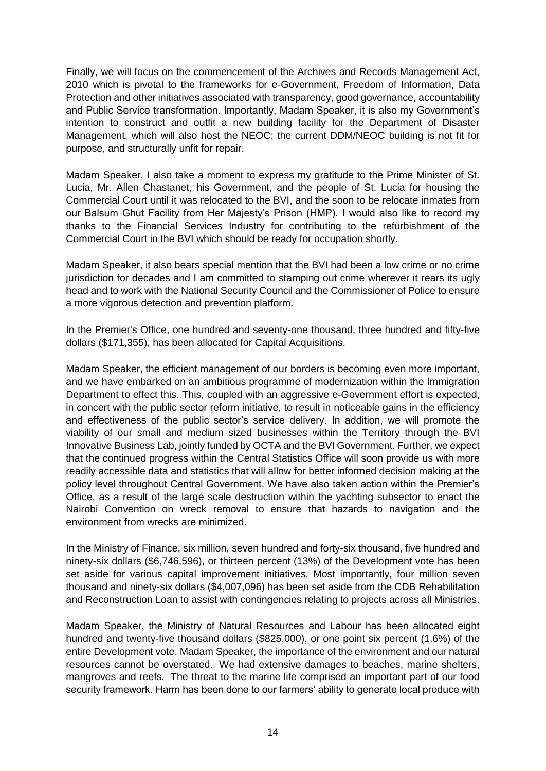Finally, we will focus on the commencement of the Archives and Records Management Act, 2010 which is pivotal to the frameworks for e-Government, Freedom of Information, Data Protection and other initiatives associated with transparency, good governance, accountability and Public Service transformation. Importantly, Madam Speaker, it is also my Government's intention to construct and outfit a new building facility for the Department of Disaster Management, which will also host the NEOC; the current DDM/NEOC building is not fit for purpose, and structurally unfit for repair.

Madam Speaker, I also take a moment to express my gratitude to the Prime Minister of St. Lucia, Mr. Allen Chastanet, his Government, and the people of St. Lucia for housing the Commercial Court until it was relocated to the BVI, and the soon to be relocate inmates from our Balsum Ghut Facility from Her Majesty's Prison (HMP). I would also like to record my thanks to the Financial Services Industry for contributing to the refurbishment of the Commercial Court in the BVI which should be ready for occupation shortly.

Madam Speaker, it also bears special mention that the BVI had been a low crime or no crime jurisdiction for decades and I am committed to stamping out crime wherever it rears its ugly head and to work with the National Security Council and the Commissioner of Police to ensure a more vigorous detection and prevention platform.

In the Premier's Office, one hundred and seventy-one thousand, three hundred and fifty-five dollars (\$171,355), has been allocated for Capital Acquisitions.

Madam Speaker, the efficient management of our borders is becoming even more important, and we have embarked on an ambitious programme of modernization within the Immigration Department to effect this. This, coupled with an aggressive e-Government effort is expected, in concert with the public sector reform initiative, to result in noticeable gains in the efficiency and effectiveness of the public sector's service delivery. In addition, we will promote the viability of our small and medium sized businesses within the Territory through the BVI Innovative Business Lab, jointly funded by OCTA and the BVI Government. Further, we expect that the continued progress within the Central Statistics Office will soon provide us with more readily accessible data and statistics that will allow for better informed decision making at the policy level throughout Central Government. We have also taken action within the Premier's Office, as a result of the large scale destruction within the yachting subsector to enact the Nairobi Convention on wreck removal to ensure that hazards to navigation and the environment from wrecks are minimized.

In the Ministry of Finance, six million, seven hundred and forty-six thousand, five hundred and ninety-six dollars (\$6,746,596), or thirteen percent (13%) of the Development vote has been set aside for various capital improvement initiatives. Most importantly, four million seven thousand and ninety-six dollars (\$4,007,096) has been set aside from the CDB Rehabilitation and Reconstruction Loan to assist with contingencies relating to projects across all Ministries.

Madam Speaker, the Ministry of Natural Resources and Labour has been allocated eight hundred and twenty-five thousand dollars (\$825,000), or one point six percent (1.6%) of the entire Development vote. Madam Speaker, the importance of the environment and our natural resources cannot be overstated. We had extensive damages to beaches, marine shelters, mangroves and reefs. The threat to the marine life comprised an important part of our food security framework. Harm has been done to our farmers' ability to generate local produce with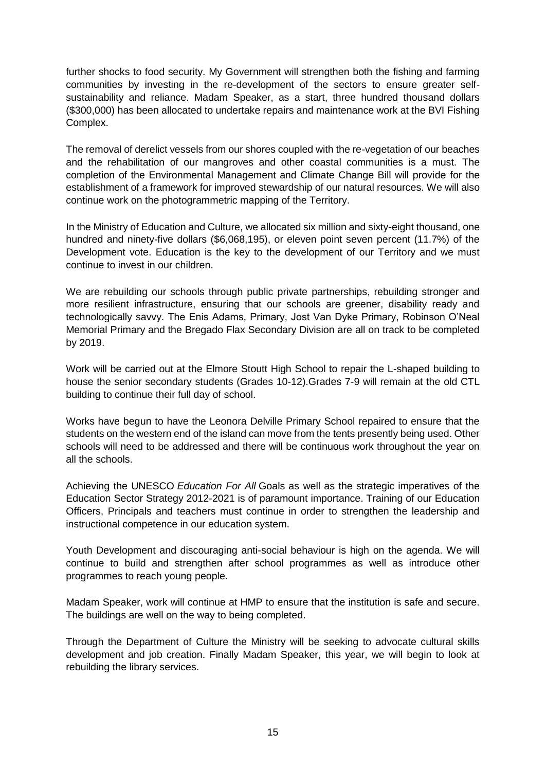further shocks to food security. My Government will strengthen both the fishing and farming communities by investing in the re-development of the sectors to ensure greater selfsustainability and reliance. Madam Speaker, as a start, three hundred thousand dollars (\$300,000) has been allocated to undertake repairs and maintenance work at the BVI Fishing Complex.

The removal of derelict vessels from our shores coupled with the re-vegetation of our beaches and the rehabilitation of our mangroves and other coastal communities is a must. The completion of the Environmental Management and Climate Change Bill will provide for the establishment of a framework for improved stewardship of our natural resources. We will also continue work on the photogrammetric mapping of the Territory.

In the Ministry of Education and Culture, we allocated six million and sixty-eight thousand, one hundred and ninety-five dollars (\$6,068,195), or eleven point seven percent (11.7%) of the Development vote. Education is the key to the development of our Territory and we must continue to invest in our children.

We are rebuilding our schools through public private partnerships, rebuilding stronger and more resilient infrastructure, ensuring that our schools are greener, disability ready and technologically savvy. The Enis Adams, Primary, Jost Van Dyke Primary, Robinson O'Neal Memorial Primary and the Bregado Flax Secondary Division are all on track to be completed by 2019.

Work will be carried out at the Elmore Stoutt High School to repair the L-shaped building to house the senior secondary students (Grades 10-12).Grades 7-9 will remain at the old CTL building to continue their full day of school.

Works have begun to have the Leonora Delville Primary School repaired to ensure that the students on the western end of the island can move from the tents presently being used. Other schools will need to be addressed and there will be continuous work throughout the year on all the schools.

Achieving the UNESCO *Education For All* Goals as well as the strategic imperatives of the Education Sector Strategy 2012-2021 is of paramount importance. Training of our Education Officers, Principals and teachers must continue in order to strengthen the leadership and instructional competence in our education system.

Youth Development and discouraging anti-social behaviour is high on the agenda. We will continue to build and strengthen after school programmes as well as introduce other programmes to reach young people.

Madam Speaker, work will continue at HMP to ensure that the institution is safe and secure. The buildings are well on the way to being completed.

Through the Department of Culture the Ministry will be seeking to advocate cultural skills development and job creation. Finally Madam Speaker, this year, we will begin to look at rebuilding the library services.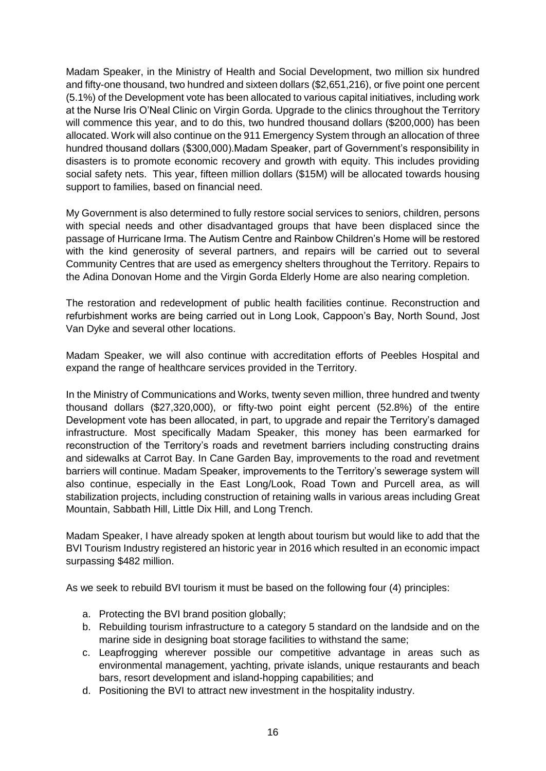Madam Speaker, in the Ministry of Health and Social Development, two million six hundred and fifty-one thousand, two hundred and sixteen dollars (\$2,651,216), or five point one percent (5.1%) of the Development vote has been allocated to various capital initiatives, including work at the Nurse Iris O'Neal Clinic on Virgin Gorda. Upgrade to the clinics throughout the Territory will commence this year, and to do this, two hundred thousand dollars (\$200,000) has been allocated. Work will also continue on the 911 Emergency System through an allocation of three hundred thousand dollars (\$300,000).Madam Speaker, part of Government's responsibility in disasters is to promote economic recovery and growth with equity. This includes providing social safety nets. This year, fifteen million dollars (\$15M) will be allocated towards housing support to families, based on financial need.

My Government is also determined to fully restore social services to seniors, children, persons with special needs and other disadvantaged groups that have been displaced since the passage of Hurricane Irma. The Autism Centre and Rainbow Children's Home will be restored with the kind generosity of several partners, and repairs will be carried out to several Community Centres that are used as emergency shelters throughout the Territory. Repairs to the Adina Donovan Home and the Virgin Gorda Elderly Home are also nearing completion.

The restoration and redevelopment of public health facilities continue. Reconstruction and refurbishment works are being carried out in Long Look, Cappoon's Bay, North Sound, Jost Van Dyke and several other locations.

Madam Speaker, we will also continue with accreditation efforts of Peebles Hospital and expand the range of healthcare services provided in the Territory.

In the Ministry of Communications and Works, twenty seven million, three hundred and twenty thousand dollars (\$27,320,000), or fifty-two point eight percent (52.8%) of the entire Development vote has been allocated, in part, to upgrade and repair the Territory's damaged infrastructure. Most specifically Madam Speaker, this money has been earmarked for reconstruction of the Territory's roads and revetment barriers including constructing drains and sidewalks at Carrot Bay. In Cane Garden Bay, improvements to the road and revetment barriers will continue. Madam Speaker, improvements to the Territory's sewerage system will also continue, especially in the East Long/Look, Road Town and Purcell area, as will stabilization projects, including construction of retaining walls in various areas including Great Mountain, Sabbath Hill, Little Dix Hill, and Long Trench.

Madam Speaker, I have already spoken at length about tourism but would like to add that the BVI Tourism Industry registered an historic year in 2016 which resulted in an economic impact surpassing \$482 million.

As we seek to rebuild BVI tourism it must be based on the following four (4) principles:

- a. Protecting the BVI brand position globally;
- b. Rebuilding tourism infrastructure to a category 5 standard on the landside and on the marine side in designing boat storage facilities to withstand the same;
- c. Leapfrogging wherever possible our competitive advantage in areas such as environmental management, yachting, private islands, unique restaurants and beach bars, resort development and island-hopping capabilities; and
- d. Positioning the BVI to attract new investment in the hospitality industry.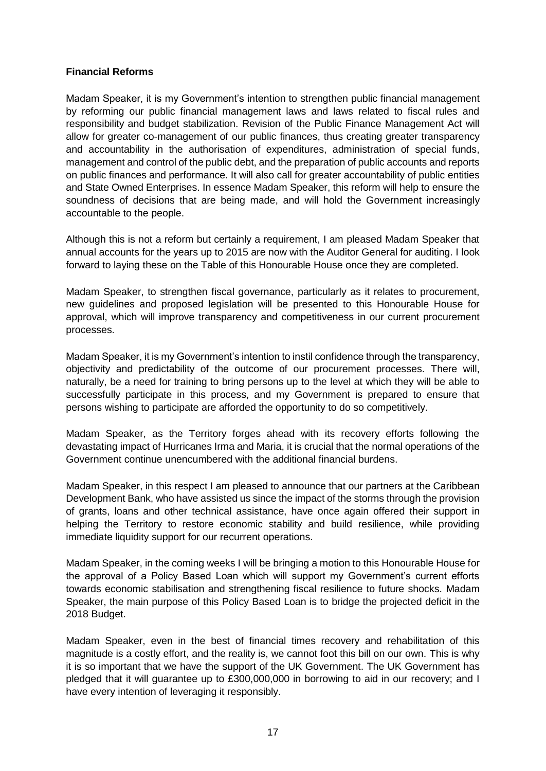#### **Financial Reforms**

Madam Speaker, it is my Government's intention to strengthen public financial management by reforming our public financial management laws and laws related to fiscal rules and responsibility and budget stabilization. Revision of the Public Finance Management Act will allow for greater co-management of our public finances, thus creating greater transparency and accountability in the authorisation of expenditures, administration of special funds, management and control of the public debt, and the preparation of public accounts and reports on public finances and performance. It will also call for greater accountability of public entities and State Owned Enterprises. In essence Madam Speaker, this reform will help to ensure the soundness of decisions that are being made, and will hold the Government increasingly accountable to the people.

Although this is not a reform but certainly a requirement, I am pleased Madam Speaker that annual accounts for the years up to 2015 are now with the Auditor General for auditing. I look forward to laying these on the Table of this Honourable House once they are completed.

Madam Speaker, to strengthen fiscal governance, particularly as it relates to procurement, new guidelines and proposed legislation will be presented to this Honourable House for approval, which will improve transparency and competitiveness in our current procurement processes.

Madam Speaker, it is my Government's intention to instil confidence through the transparency, objectivity and predictability of the outcome of our procurement processes. There will, naturally, be a need for training to bring persons up to the level at which they will be able to successfully participate in this process, and my Government is prepared to ensure that persons wishing to participate are afforded the opportunity to do so competitively.

Madam Speaker, as the Territory forges ahead with its recovery efforts following the devastating impact of Hurricanes Irma and Maria, it is crucial that the normal operations of the Government continue unencumbered with the additional financial burdens.

Madam Speaker, in this respect I am pleased to announce that our partners at the Caribbean Development Bank, who have assisted us since the impact of the storms through the provision of grants, loans and other technical assistance, have once again offered their support in helping the Territory to restore economic stability and build resilience, while providing immediate liquidity support for our recurrent operations.

Madam Speaker, in the coming weeks I will be bringing a motion to this Honourable House for the approval of a Policy Based Loan which will support my Government's current efforts towards economic stabilisation and strengthening fiscal resilience to future shocks. Madam Speaker, the main purpose of this Policy Based Loan is to bridge the projected deficit in the 2018 Budget.

Madam Speaker, even in the best of financial times recovery and rehabilitation of this magnitude is a costly effort, and the reality is, we cannot foot this bill on our own. This is why it is so important that we have the support of the UK Government. The UK Government has pledged that it will guarantee up to £300,000,000 in borrowing to aid in our recovery; and I have every intention of leveraging it responsibly.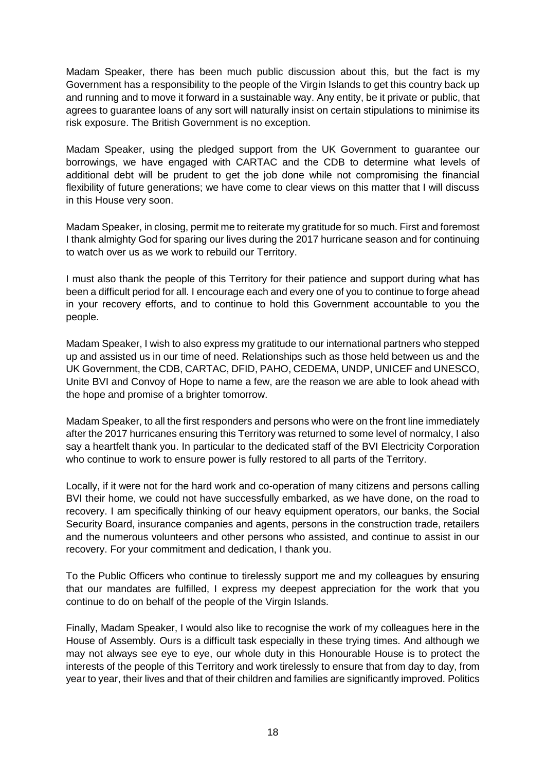Madam Speaker, there has been much public discussion about this, but the fact is my Government has a responsibility to the people of the Virgin Islands to get this country back up and running and to move it forward in a sustainable way. Any entity, be it private or public, that agrees to guarantee loans of any sort will naturally insist on certain stipulations to minimise its risk exposure. The British Government is no exception.

Madam Speaker, using the pledged support from the UK Government to guarantee our borrowings, we have engaged with CARTAC and the CDB to determine what levels of additional debt will be prudent to get the job done while not compromising the financial flexibility of future generations; we have come to clear views on this matter that I will discuss in this House very soon.

Madam Speaker, in closing, permit me to reiterate my gratitude for so much. First and foremost I thank almighty God for sparing our lives during the 2017 hurricane season and for continuing to watch over us as we work to rebuild our Territory.

I must also thank the people of this Territory for their patience and support during what has been a difficult period for all. I encourage each and every one of you to continue to forge ahead in your recovery efforts, and to continue to hold this Government accountable to you the people.

Madam Speaker, I wish to also express my gratitude to our international partners who stepped up and assisted us in our time of need. Relationships such as those held between us and the UK Government, the CDB, CARTAC, DFID, PAHO, CEDEMA, UNDP, UNICEF and UNESCO, Unite BVI and Convoy of Hope to name a few, are the reason we are able to look ahead with the hope and promise of a brighter tomorrow.

Madam Speaker, to all the first responders and persons who were on the front line immediately after the 2017 hurricanes ensuring this Territory was returned to some level of normalcy, I also say a heartfelt thank you. In particular to the dedicated staff of the BVI Electricity Corporation who continue to work to ensure power is fully restored to all parts of the Territory.

Locally, if it were not for the hard work and co-operation of many citizens and persons calling BVI their home, we could not have successfully embarked, as we have done, on the road to recovery. I am specifically thinking of our heavy equipment operators, our banks, the Social Security Board, insurance companies and agents, persons in the construction trade, retailers and the numerous volunteers and other persons who assisted, and continue to assist in our recovery. For your commitment and dedication, I thank you.

To the Public Officers who continue to tirelessly support me and my colleagues by ensuring that our mandates are fulfilled, I express my deepest appreciation for the work that you continue to do on behalf of the people of the Virgin Islands.

Finally, Madam Speaker, I would also like to recognise the work of my colleagues here in the House of Assembly. Ours is a difficult task especially in these trying times. And although we may not always see eye to eye, our whole duty in this Honourable House is to protect the interests of the people of this Territory and work tirelessly to ensure that from day to day, from year to year, their lives and that of their children and families are significantly improved. Politics